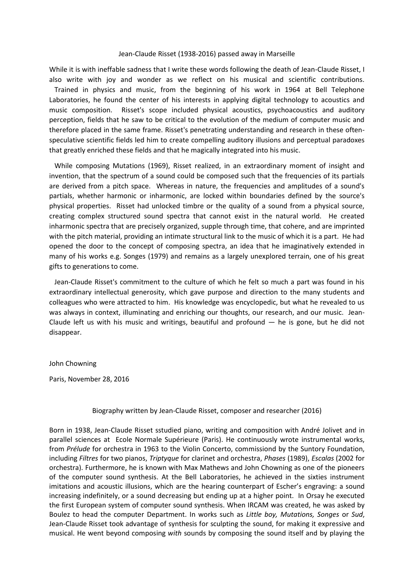## Jean-Claude Risset (1938-2016) passed away in Marseille

While it is with ineffable sadness that I write these words following the death of Jean-Claude Risset, I also write with joy and wonder as we reflect on his musical and scientific contributions. Trained in physics and music, from the beginning of his work in 1964 at Bell Telephone Laboratories, he found the center of his interests in applying digital technology to acoustics and music composition. Risset's scope included physical acoustics, psychoacoustics and auditory perception, fields that he saw to be critical to the evolution of the medium of computer music and therefore placed in the same frame. Risset's penetrating understanding and research in these oftenspeculative scientific fields led him to create compelling auditory illusions and perceptual paradoxes that greatly enriched these fields and that he magically integrated into his music.

 While composing Mutations (1969), Risset realized, in an extraordinary moment of insight and invention, that the spectrum of a sound could be composed such that the frequencies of its partials are derived from a pitch space. Whereas in nature, the frequencies and amplitudes of a sound's partials, whether harmonic or inharmonic, are locked within boundaries defined by the source's physical properties. Risset had unlocked timbre or the quality of a sound from a physical source, creating complex structured sound spectra that cannot exist in the natural world. He created inharmonic spectra that are precisely organized, supple through time, that cohere, and are imprinted with the pitch material, providing an intimate structural link to the music of which it is a part. He had opened the door to the concept of composing spectra, an idea that he imaginatively extended in many of his works e.g. Songes (1979) and remains as a largely unexplored terrain, one of his great gifts to generations to come.

 Jean-Claude Risset's commitment to the culture of which he felt so much a part was found in his extraordinary intellectual generosity, which gave purpose and direction to the many students and colleagues who were attracted to him. His knowledge was encyclopedic, but what he revealed to us was always in context, illuminating and enriching our thoughts, our research, and our music. Jean-Claude left us with his music and writings, beautiful and profound — he is gone, but he did not disappear.

## John Chowning

Paris, November 28, 2016

## Biography written by Jean-Claude Risset, composer and researcher (2016)

Born in 1938, Jean-Claude Risset sstudied piano, writing and composition with André Jolivet and in parallel sciences at Ecole Normale Supérieure (Paris). He continuously wrote instrumental works, from *Prélude* for orchestra in 1963 to the Violin Concerto, commissiond by the Suntory Foundation, including *Filtres* for two pianos, *Triptyque* for clarinet and orchestra, *Phases* (1989), *Escalas* (2002 for orchestra). Furthermore, he is known with Max Mathews and John Chowning as one of the pioneers of the computer sound synthesis. At the Bell Laboratories, he achieved in the sixties instrument imitations and acoustic illusions, which are the hearing counterpart of Escher's engraving: a sound increasing indefinitely, or a sound decreasing but ending up at a higher point. In Orsay he executed the first European system of computer sound synthesis. When IRCAM was created, he was asked by Boulez to head the computer Department. In works such as *Little boy, Mutations, Songes* or *Sud*, Jean-Claude Risset took advantage of synthesis for sculpting the sound, for making it expressive and musical. He went beyond composing *with* sounds by composing the sound itself and by playing the